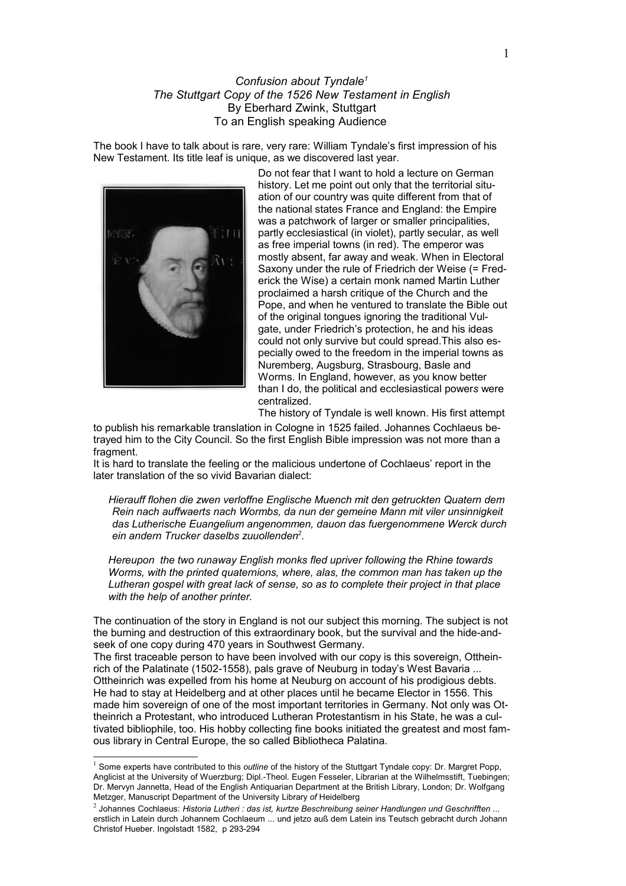## *Confusion about Tyndale[1](#page-0-0) The Stuttgart Copy of the 1526 New Testament in English* By Eberhard Zwink, Stuttgart To an English speaking Audience

The book I have to talk about is rare, very rare: William Tyndale's first impression of his New Testament. Its title leaf is unique, as we discovered last year.



Do not fear that I want to hold a lecture on German history. Let me point out only that the territorial situation of our country was quite different from that of the national states France and England: the Empire was a patchwork of larger or smaller principalities, partly ecclesiastical (in violet), partly secular, as well as free imperial towns (in red). The emperor was mostly absent, far away and weak. When in Electoral Saxony under the rule of Friedrich der Weise (= Frederick the Wise) a certain monk named Martin Luther proclaimed a harsh critique of the Church and the Pope, and when he ventured to translate the Bible out of the original tongues ignoring the traditional Vulgate, under Friedrich's protection, he and his ideas could not only survive but could spread.This also especially owed to the freedom in the imperial towns as Nuremberg, Augsburg, Strasbourg, Basle and Worms. In England, however, as you know better than I do, the political and ecclesiastical power*s* were centralized.

The history of Tyndale is well known. His first attempt

to publish his remarkable translation in Cologne in 1525 failed. Johannes Cochlaeus betrayed him to the City Council. So the first English Bible impression was not more than a fragment.

It is hard to translate the feeling or the malicious undertone of Cochlaeus' report in the later translation of the so vivid Bavarian dialect:

*Hierauff flohen die zwen verloffne Englische Muench mit den getruckten Quatern dem Rein nach auffwaerts nach Wormbs, da nun der gemeine Mann mit viler unsinnigkeit das Lutherische Euangelium angenommen, dauon das fuergenommene Werck durch ein andern Trucker daselbs zuuollenden[2](#page-0-1) .*

*Hereupon the two runaway English monks fled upriver following the Rhine towards Worms, with the printed quaternions, where, alas, the common man has taken up the Lutheran gospel with great lack of sense, so as to complete their project in that place with the help of another printer.*

The continuation of the story in England is not our subject this morning. The subject is not the burning and destruction of this extraordinary book, but the survival and the hide-andseek of one copy during 470 years in Southwest Germany.

The first traceable person to have been involved with our copy is this sovereign, Ottheinrich of the Palatinate (1502-1558), pals grave of Neuburg in today's West Bavaria ... Ottheinrich was expelled from his home at Neuburg on account of his prodigious debts. He had to stay at Heidelberg and at other places until he became Elector in 1556. This made him sovereign of one of the most important territories in Germany. Not only was Ottheinrich a Protestant, who introduced Lutheran Protestantism in his State, he was a cultivated bibliophile, too. His hobby collecting fine books initiated the greatest and most famous library in Central Europe, the so called Bibliotheca Palatina.

<span id="page-0-0"></span><sup>&</sup>lt;sup>1</sup> Some experts have contributed to this *outline* of the history of the Stuttgart Tyndale copy: Dr. Margret Popp, Anglicist at the University of Wuerzburg; Dipl.-Theol. Eugen Fesseler, Librarian at the Wilhelmsstift, Tuebingen; Dr. Mervyn Jannetta, Head of the English Antiquarian Department at the British Library, London; Dr. Wolfgang Metzger, Manuscript Department of the University Library *of* Heidelberg

<span id="page-0-1"></span><sup>&</sup>lt;sup>2</sup> Johannes Cochlaeus: *Historia Lutheri : das ist, kurtze Beschreibung seiner Handlungen und Geschrifften ...* erstlich in Latein durch Johannem Cochlaeum ... und jetzo auß dem Latein ins Teutsch gebracht durch Johann Christof Hueber. Ingolstadt 1582, p 293-294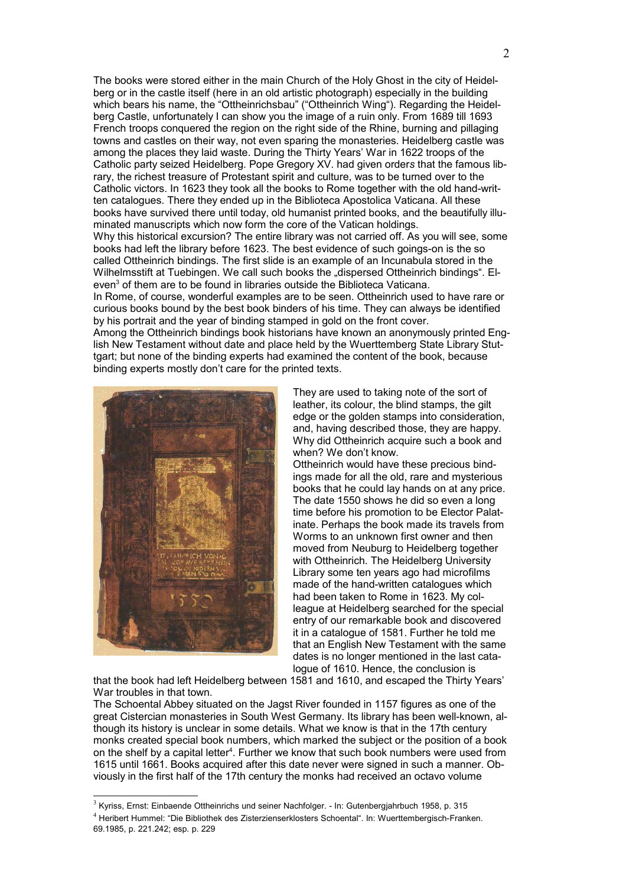The books were stored either in the main Church of the Holy Ghost in the city of Heidelberg or in the castle itself (here in an old artistic photograph) especially in the building which bears his name, the "Ottheinrichsbau" ("Ottheinrich Wing"). Regarding the Heidelberg Castle, unfortunately I can show you the image of a ruin only. From 1689 till 1693 French troops conquered the region on the right side of the Rhine, burning and pillaging towns and castles on their way, not even sparing the monasteries. Heidelberg castle was among the places they laid waste. During the Thirty Years' War in 1622 troops of the Catholic party seized Heidelberg. Pope Gregory XV. had given order*s* that the famous library, the richest treasure of Protestant spirit and culture, was to be turned over to the Catholic victors. In 1623 they took all the books to Rome together with the old hand-written catalogues. There they ended up in the Biblioteca Apostolica Vaticana. All these books have survived there until today, old humanist printed books, and the beautifully illuminated manuscripts which now form the core of the Vatican holdings. Why this historical excursion? The entire library was not carried off. As you will see, some books had left the library before 1623. The best evidence of such goings-on is the so called Ottheinrich bindings. The first slide is an example of an Incunabula stored in the Wilhelmsstift at Tuebingen. We call such books the "dispersed Ottheinrich bindings". El-even<sup>[3](#page-1-0)</sup> of them are to be found in libraries outside the Biblioteca Vaticana. In Rome, of course, wonderful examples are to be seen. Ottheinrich used to have rare or

curious books bound by the best book binders of his time. They can always be identified by his portrait and the year of binding stamped in gold on the front cover. Among the Ottheinrich bindings book historians have known an anonymously printed Eng-

lish New Testament without date and place held by the Wuerttemberg State Library Stuttgart; but none of the binding experts had examined the content of the book, because binding experts mostly don't care for the printed texts.



They are used to taking note of the sort of leather, its colour, the blind stamps, the gilt edge or the golden stamps into consideration, and, having described those, they are happy. Why did Ottheinrich acquire such a book and when? We don't know.

Ottheinrich would have these precious bindings made for all the old, rare and mysterious books that he could lay hands on at any price. The date 1550 shows he did so even a long time before his promotion to be Elector Palatinate. Perhaps the book made its travels from Worms to an unknown first owner and then moved from Neuburg to Heidelberg together with Ottheinrich. The Heidelberg University Library some ten years ago had microfilms made of the hand-written catalogues which had been taken to Rome in 1623. My colleague at Heidelberg searched for the special entry of our remarkable book and discovered it in a catalogue of 1581. Further he told me that an English New Testament with the same dates is no longer mentioned in the last catalogue of 1610. Hence, the conclusion is

that the book had left Heidelberg between 1581 and 1610, and escaped the Thirty Years' War troubles in that town.

The Schoental Abbey situated on the Jagst River founded in 1157 figures as one of the great Cistercian monasteries in South West Germany. Its library has been well-known, although its history is unclear in some details. What we know is that in the 17th century monks created special book numbers, which marked the subject or the position of a book on the shelf by a capital letter<sup>[4](#page-1-1)</sup>. Further we know that such book numbers were used from 1615 until 1661. Books acquired after this date never were signed in such a manner. Obviously in the first half of the 17th century the monks had received an octavo volume

<span id="page-1-0"></span> $3$  Kyriss, Ernst: Einbaende Ottheinrichs und seiner Nachfolger. - In: Gutenbergjahrbuch 1958, p. 315

<span id="page-1-1"></span><sup>4</sup> Heribert Hummel: "Die Bibliothek des Zisterzienserklosters Schoental". In: Wuerttembergisch-Franken. 69.1985, p. 221.242; esp. p. 229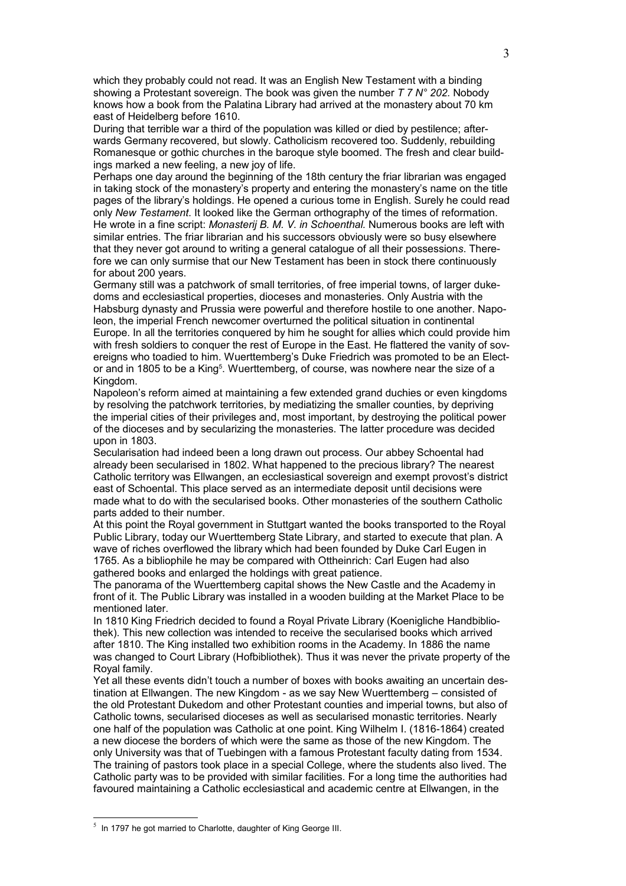which they probably could not read. It was an English New Testament with a binding showing a Protestant sovereign. The book was given the number *T 7 N° 202.* Nobody knows how a book from the Palatina Library had arrived at the monastery about 70 km east of Heidelberg before 1610.

During that terrible war a third of the population was killed or died by pestilence; afterwards Germany recovered, but slowly. Catholicism recovered too. Suddenly, rebuilding Romanesque or gothic churches in the baroque style boomed. The fresh and clear buildings marked a new feeling, a new joy of life.

Perhaps one day around the beginning of the 18th century the friar librarian was engaged in taking stock of the monastery's property and entering the monastery's name on the title pages of the library's holdings. He opened a curious tome in English. Surely he could read only *New Testament*. It looked like the German orthography of the times of reformation. He wrote in a fine script: *Monasterij B. M. V. in Schoenthal.* Numerous books are left with similar entries. The friar librarian and his successors obviously were so busy elsewhere that they never got around to writing a general catalogue of all their possession*s*. Therefore we can only surmise that our New Testament has been in stock there continuously for about 200 years.

Germany still was a patchwork of small territories, of free imperial towns, of larger dukedoms and ecclesiastical properties, dioceses and monasteries. Only Austria with the Habsburg dynasty and Prussia were powerful and therefore hostile to one another. Napoleon, the imperial French newcomer overturned the political situation in continental Europe. In all the territories conquered by him he sought for allies which could provide him with fresh soldiers to conquer the rest of Europe in the East. He flattered the vanity of sovereigns who toadied to him. Wuerttemberg's Duke Friedrich was promoted to be an Elect-or and in 180[5](#page-2-0) to be a King<sup>5</sup>. Wuerttemberg, of course, was nowhere near the size of a Kingdom.

Napoleon's reform aimed at maintaining a few extended grand duchies or even kingdoms by resolving the patchwork territories, by mediatizing the smaller counties, by depriving the imperial cities of their privileges and, most important, by destroying the political power of the dioceses and by secularizing the monasteries. The latter procedure was decided upon in 1803.

Secularisation had indeed been a long drawn out process. Our abbey Schoental had already been secularised in 1802. What happened to the precious library? The nearest Catholic territory was Ellwangen, an ecclesiastical sovereign and exempt provost's district east of Schoental. This place served as an intermediate deposit until decisions were made what to do with the secularised books. Other monasteries of the southern Catholic parts added to their number.

At this point the Royal government in Stuttgart wanted the books transported to the Royal Public Library, today our Wuerttemberg State Library, and started to execute that plan. A wave of riches overflowed the library which had been founded by Duke Carl Eugen in 1765. As a bibliophile he may be compared with Ottheinrich: Carl Eugen had also gathered books and enlarged the holdings with great patience.

The panorama of the Wuerttemberg capital shows the New Castle and the Academy in front of it. The Public Library was installed in a wooden building at the Market Place to be mentioned later.

In 1810 King Friedrich decided to found a Royal Private Library (Koenigliche Handbibliothek). This new collection was intended to receive the secularised books which arrived after 1810. The King installed two exhibition rooms in the Academy. In 1886 the name was changed to Court Library (Hofbibliothek). Thus it was never the private property of the Royal family.

Yet all these events didn't touch a number of boxes with books awaiting an uncertain destination at Ellwangen. The new Kingdom - as we say New Wuerttemberg – consisted of the old Protestant Dukedom and other Protestant counties and imperial towns, but also of Catholic towns, secularised dioceses as well as secularised monastic territories. Nearly one half of the population was Catholic at one point. King Wilhelm I. (1816-1864) created a new diocese the borders of which were the same as those of the new Kingdom. The only University was that of Tuebingen with a famous Protestant faculty dating from 1534. The training of pastors took place in a special College, where the students also lived. The Catholic party was to be provided with similar facilities. For a long time the authorities had favoured maintaining a Catholic ecclesiastical and academic centre at Ellwangen, in the

<span id="page-2-0"></span> $<sup>5</sup>$  In 1797 he got married to Charlotte, daughter of King George III.</sup>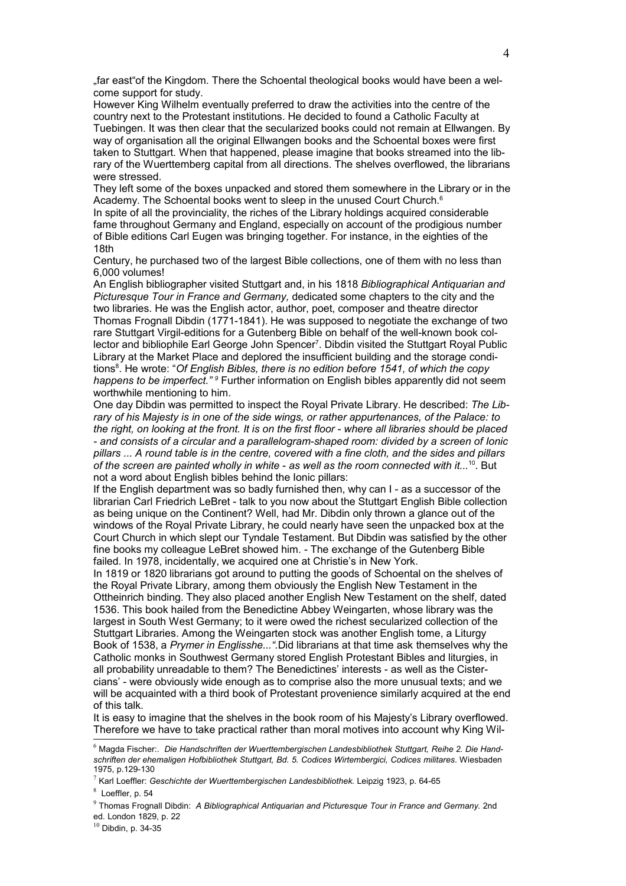"far east"of the Kingdom. There the Schoental theological books would have been a welcome support for study.

However King Wilhelm eventually preferred to draw the activities into the centre of the country next to the Protestant institutions. He decided to found a Catholic Faculty at Tuebingen. It was then clear that the secularized books could not remain at Ellwangen. By way of organisation all the original Ellwangen books and the Schoental boxes were first taken to Stuttgart. When that happened, please imagine that books streamed into the library of the Wuerttemberg capital from all directions. The shelves overflowed, the librarians were stressed.

They left some of the boxes unpacked and stored them somewhere in the Library or in the Academy. The Schoental books went to sleep in the unused Court Church.<sup>[6](#page-3-0)</sup>

In spite of all the provinciality, the riches of the Library holdings acquired considerable fame throughout Germany and England, especially on account of the prodigious number of Bible editions Carl Eugen was bringing together. For instance, in the eighties of the 18th

Century, he purchased two of the largest Bible collections, one of them with no less than 6,000 volumes!

An English bibliographer visited Stuttgart and, in his 1818 *Bibliographical Antiquarian and Picturesque Tour in France and Germany,* dedicated some chapters to the city and the two libraries. He was the English actor, author, poet, composer and theatre director Thomas Frognall Dibdin (1771-1841). He was supposed to negotiate the exchange of two rare Stuttgart Virgil-editions for a Gutenberg Bible on behalf of the well-known book col-lector and bibliophile Earl George John Spencer<sup>[7](#page-3-1)</sup>. Dibdin visited the Stuttgart Royal Public Library at the Market Place and deplored the insufficient building and the storage condi-tions<sup>[8](#page-3-2)</sup>. He wrote: "Of English Bibles, there is no edition before 1541, of which the copy *happens to be imperfect." [9](#page-3-3)* Further information on English bibles apparently did not seem worthwhile mentioning to him.

One day Dibdin was permitted to inspect the Royal Private Library. He described: *The Library of his Majesty is in one of the side wings, or rather appurtenances, of the Palace: to the right, on looking at the front. It is on the first floor - where all libraries should be placed - and consists of a circular and a parallelogram-shaped room: divided by a screen of Ionic pillars ... A round table is in the centre, covered with a fine cloth, and the sides and pillars of the screen are painted wholly in white - as well as the room connected with it...*[10](#page-3-4). But not a word about English bibles behind the Ionic pillars:

If the English department was so badly furnished then, why can I - as a successor of the librarian Carl Friedrich LeBret - talk to you now about the Stuttgart English Bible collection as being unique on the Continent? Well, had Mr. Dibdin only thrown a glance out of the windows of the Royal Private Library, he could nearly have seen the unpacked box at the Court Church in which slept our Tyndale Testament. But Dibdin was satisfied by the other fine books my colleague LeBret showed him. - The exchange of the Gutenberg Bible failed. In 1978, incidentally, we acquired one at Christie's in New York.

In 1819 or 1820 librarians got around to putting the goods of Schoental on the shelves of the Royal Private Library, among them obviously the English New Testament in the Ottheinrich binding. They also placed another English New Testament on the shelf, dated 1536. This book hailed from the Benedictine Abbey Weingarten, whose library was the largest in South West Germany; to it were owed the richest secularized collection of the Stuttgart Libraries. Among the Weingarten stock was another English tome, a Liturgy Book of 1538, a *Prymer in Englisshe...".*Did librarians at that time ask themselves why the Catholic monks in Southwest Germany stored English Protestant Bibles and liturgies, in all probability unreadable to them? The Benedictines' interests - as well as the Cistercians' - were obviously wide enough as to comprise also the more unusual texts; and we will be acquainted with a third book of Protestant provenience similarly acquired at the end of this talk.

It is easy to imagine that the shelves in the book room of his Majesty's Library overflowed. Therefore we have to take practical rather than moral motives into account why King Wil-

<span id="page-3-0"></span><sup>6</sup> Magda Fischer:. *Die Handschriften der Wuerttembergischen Landesbibliothek Stuttgart, Reihe 2. Die Handschriften der ehemaligen Hofbibliothek Stuttgart, Bd. 5. Codices Wirtembergici, Codices militares*. Wiesbaden 1975, p.129-130

<span id="page-3-1"></span><sup>7</sup> Karl Loeffler: *Geschichte der Wuerttembergischen Landesbibliothek.* Leipzig 1923, p. 64-65

<span id="page-3-2"></span> $8$  Loeffler, p. 54

<span id="page-3-3"></span><sup>9</sup> Thomas Frognall Dibdin: *A Bibliographical Antiquarian and Picturesque Tour in France and Germany.* 2nd ed. London 1829, p. 22

<span id="page-3-4"></span> $10$  Dibdin, p. 34-35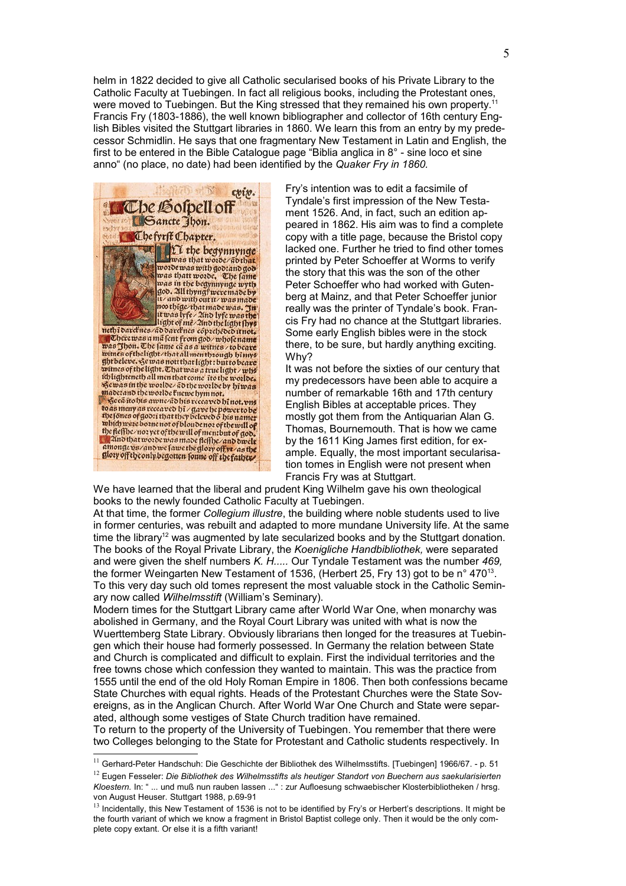helm in 1822 decided to give all Catholic secularised books of his Private Library to the Catholic Faculty at Tuebingen. In fact all religious books, including the Protestant ones, were moved to Tuebingen. But the King stressed that they remained his own property.<sup>[11](#page-4-0)</sup> Francis Fry (1803-1886), the well known bibliographer and collector of 16th century English Bibles visited the Stuttgart libraries in 1860. We learn this from an entry by my predecessor Schmidlin. He says that one fragmentary New Testament in Latin and English, the first to be entered in the Bible Catalogue page "Biblia anglica in 8° - sine loco et sine anno" (no place, no date) had been identified by the *Quaker Fry in 1860.*



Fry's intention was to edit a facsimile of Tyndale's first impression of the New Testament 1526. And, in fact, such an edition appeared in 1862. His aim was to find a complete copy with a title page, because the Bristol copy lacked one. Further he tried to find other tomes printed by Peter Schoeffer at Worms to verify the story that this was the son of the other Peter Schoeffer who had worked with Gutenberg at Mainz, and that Peter Schoeffer junior really was the printer of Tyndale's book. Francis Fry had no chance at the Stuttgart libraries. Some early English bibles were in the stock there, to be sure, but hardly anything exciting. Why?

It was not before the sixties of our century that my predecessors have been able to acquire a number of remarkable 16th and 17th century English Bibles at acceptable prices. They mostly got them from the Antiquarian Alan G. Thomas, Bournemouth. That is how we came by the 1611 King James first edition, for example. Equally, the most important secularisation tomes in English were not present when Francis Fry was at Stuttgart.

We have learned that the liberal and prudent King Wilhelm gave his own theological books to the newly founded Catholic Faculty at Tuebingen.

At that time, the former *Collegium illustre*, the building where noble students used to live in former centuries, was rebuilt and adapted to more mundane University life. At the same time the library<sup>[12](#page-4-1)</sup> was augmented by late secularized books and by the Stuttgart donation. The books of the Royal Private Library, the *Koenigliche Handbibliothek,* were separated and were given the shelf numbers *K. H.....* Our Tyndale Testament was the number *469,* the former Weingarten New Testament of 1536, (Herbert 25, Fry [13](#page-4-2)) got to be n° 470<sup>13</sup>. To this very day such old tomes represent the most valuable stock in the Catholic Seminary now called *Wilhelmsstift* (William's Seminary).

Modern times for the Stuttgart Library came after World War One, when monarchy was abolished in Germany, and the Royal Court Library was united with what is now the Wuerttemberg State Library. Obviously librarians then longed for the treasures at Tuebingen which their house had formerly possessed. In Germany the relation between State and Church is complicated and difficult to explain. First the individual territories and the free towns chose which confession they wanted to maintain. This was the practice from 1555 until the end of the old Holy Roman Empire in 1806. Then both confessions became State Churches with equal rights. Heads of the Protestant Churches were the State Sovereigns, as in the Anglican Church. After World War One Church and State were separated, although some vestiges of State Church tradition have remained.

To return to the property of the University of Tuebingen. You remember that there were two Colleges belonging to the State for Protestant and Catholic students respectively. In

<span id="page-4-1"></span><span id="page-4-0"></span><sup>&</sup>lt;sup>11</sup> Gerhard-Peter Handschuh: Die Geschichte der Bibliothek des Wilhelmsstifts. [Tuebingen] 1966/67. - p. 51 <sup>12</sup> Eugen Fesseler: *Die Bibliothek des Wilhelmsstifts als heutiger Standort von Buechern aus saekularisierten Kloestern.* In: " ... und muß nun rauben lassen ..." : zur Aufloesung schwaebischer Klosterbibliotheken / hrsg. von August Heuser. Stuttgart 1988, p.69-91

<span id="page-4-2"></span><sup>&</sup>lt;sup>13</sup> Incidentally, this New Testament of 1536 is not to be identified by Fry's or Herbert's descriptions. It might be the fourth variant of which we know a fragment in Bristol Baptist college only. Then it would be the only complete copy extant. Or else it is a fifth variant!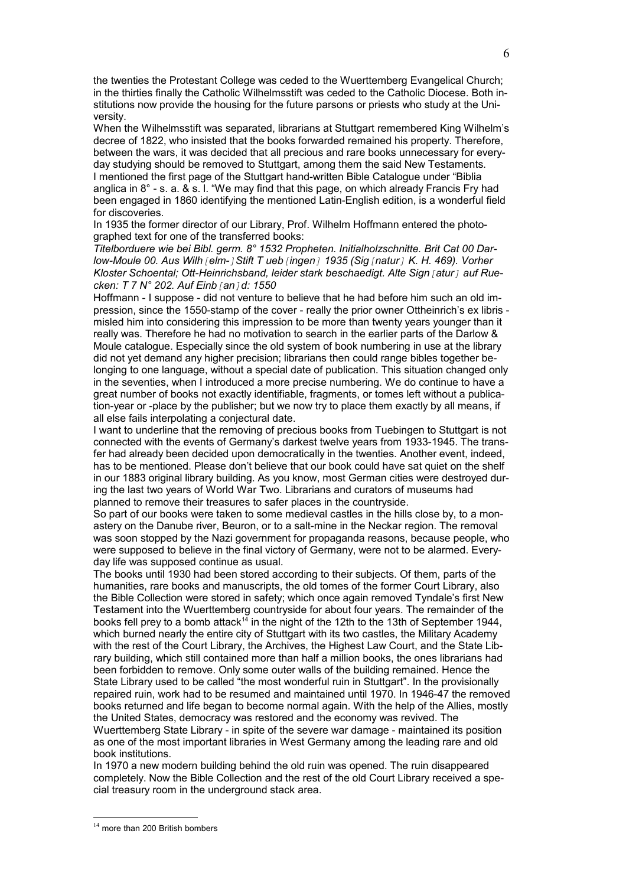the twenties the Protestant College was ceded to the Wuerttemberg Evangelical Church; in the thirties finally the Catholic Wilhelmsstift was ceded to the Catholic Diocese. Both institutions now provide the housing for the future parsons or priests who study at the University.

When the Wilhelmsstift was separated, librarians at Stuttgart remembered King Wilhelm's decree of 1822, who insisted that the books forwarded remained his property. Therefore, between the wars, it was decided that all precious and rare books unnecessary for everyday studying should be removed to Stuttgart, among them the said New Testaments. I mentioned the first page of the Stuttgart hand-written Bible Catalogue under "Biblia anglica in 8° - s. a. & s. l. "We may find that this page, on which already Francis Fry had been engaged in 1860 identifying the mentioned Latin-English edition, is a wonderful field for discoveries.

In 1935 the former director of our Library, Prof. Wilhelm Hoffmann entered the photographed text for one of the transferred books:

*Titelborduere wie bei Bibl. germ. 8° 1532 Propheten. Initialholzschnitte. Brit Cat 00 Darlow-Moule 00. Aus Wilh[elm-]Stift T ueb[ingen] 1935 (Sig[natur] K. H. 469). Vorher Kloster Schoental; Ott-Heinrichsband, leider stark beschaedigt. Alte Sign[atur] auf Ruecken: T 7 N° 202. Auf Einb[an]d: 1550*

Hoffmann - I suppose - did not venture to believe that he had before him such an old impression, since the 1550-stamp of the cover - really the prior owner Ottheinrich's ex libris misled him into considering this impression to be more than twenty years younger than it really was. Therefore he had no motivation to search in the earlier parts of the Darlow & Moule catalogue. Especially since the old system of book numbering in use at the library did not yet demand any higher precision; librarians then could range bibles together belonging to one language, without a special date of publication. This situation changed only in the seventies, when I introduced a more precise numbering. We do continue to have a great number of books not exactly identifiable, fragments, or tomes left without a publication-year or -place by the publisher; but we now try to place them exactly by all means, if all else fails interpolating a conjectural date.

I want to underline that the removing of precious books from Tuebingen to Stuttgart is not connected with the events of Germany's darkest twelve years from 1933-1945. The transfer had already been decided upon democratically in the twenties. Another event, indeed, has to be mentioned. Please don't believe that our book could have sat quiet on the shelf in our 1883 original library building. As you know, most German cities were destroyed during the last two years of World War Two. Librarians and curators of museums had planned to remove their treasures to safer places in the countryside.

So part of our books were taken to some medieval castles in the hills close by, to a monastery on the Danube river, Beuron, or to a salt-mine in the Neckar region. The removal was soon stopped by the Nazi government for propaganda reasons, because people, who were supposed to believe in the final victory of Germany, were not to be alarmed. Everyday life was supposed continue as usual.

The books until 1930 had been stored according to their subjects. Of them, parts of the humanities, rare books and manuscripts, the old tomes of the former Court Library, also the Bible Collection were stored in safety; which once again removed Tyndale's first New Testament into the Wuerttemberg countryside for about four years. The remainder of the books fell prey to a bomb attack<sup>[14](#page-5-0)</sup> in the night of the 12th to the 13th of September 1944, which burned nearly the entire city of Stuttgart with its two castles, the Military Academy with the rest of the Court Library, the Archives, the Highest Law Court, and the State Library building, which still contained more than half a million books, the ones librarians had been forbidden to remove. Only some outer walls of the building remained. Hence the State Library used to be called "the most wonderful ruin in Stuttgart". In the provisionally repaired ruin, work had to be resumed and maintained until 1970. In 1946-47 the removed books returned and life began to become normal again. With the help of the Allies, mostly the United States, democracy was restored and the economy was revived. The Wuerttemberg State Library - in spite of the severe war damage - maintained its position as one of the most important libraries in West Germany among the leading rare and old

book institutions.

In 1970 a new modern building behind the old ruin was opened. The ruin disappeared completely. Now the Bible Collection and the rest of the old Court Library received a special treasury room in the underground stack area.

<span id="page-5-0"></span> $14$  more than 200 British bombers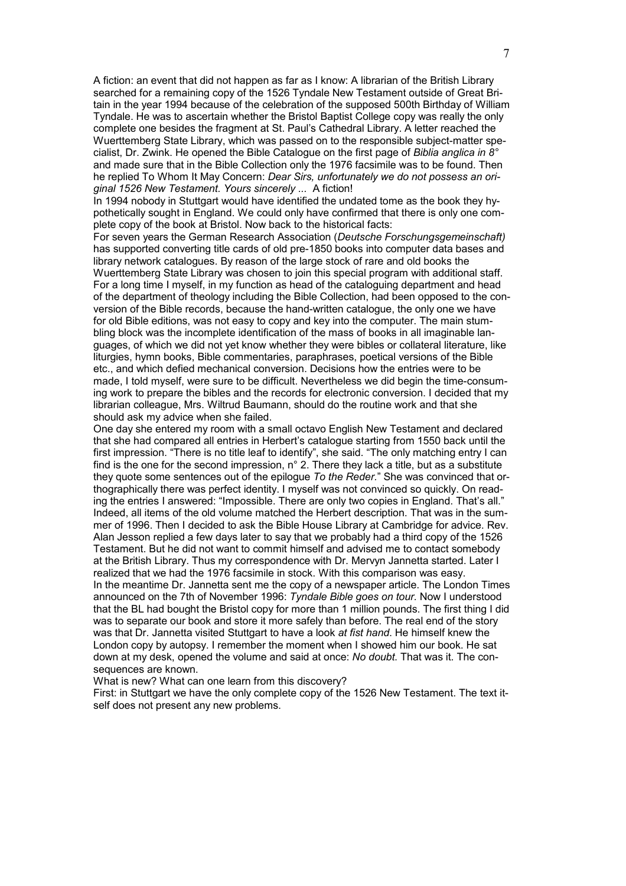A fiction: an event that did not happen as far as I know: A librarian of the British Library searched for a remaining copy of the 1526 Tyndale New Testament outside of Great Britain in the year 1994 because of the celebration of the supposed 500th Birthday of William Tyndale. He was to ascertain whether the Bristol Baptist College copy was really the only complete one besides the fragment at St. Paul's Cathedral Library. A letter reached the Wuerttemberg State Library, which was passed on to the responsible subject-matter specialist, Dr. Zwink. He opened the Bible Catalogue on the first page of *Biblia anglica in 8°* and made sure that in the Bible Collection only the 1976 facsimile was to be found. Then he replied To Whom It May Concern: *Dear Sirs, unfortunately we do not possess an original 1526 New Testament. Yours sincerely ...* A fiction!

In 1994 nobody in Stuttgart would have identified the undated tome as the book they hypothetically sought in England. We could only have confirmed that there is only one complete copy of the book at Bristol. Now back to the historical facts:

For seven years the German Research Association (*Deutsche Forschungsgemeinschaft)* has supported converting title cards of old pre-1850 books into computer data bases and library network catalogues. By reason of the large stock of rare and old books the Wuerttemberg State Library was chosen to join this special program with additional staff. For a long time I myself, in my function as head of the cataloguing department and head of the department of theology including the Bible Collection, had been opposed to the conversion of the Bible records, because the hand-written catalogue, the only one we have for old Bible editions, was not easy to copy and key into the computer. The main stumbling block was the incomplete identification of the mass of books in all imaginable languages, of which we did not yet know whether they were bibles or collateral literature, like liturgies, hymn books, Bible commentaries, paraphrases, poetical versions of the Bible etc., and which defied mechanical conversion. Decisions how the entries were to be made, I told myself, were sure to be difficult. Nevertheless we did begin the time-consuming work to prepare the bibles and the records for electronic conversion. I decided that my librarian colleague, Mrs. Wiltrud Baumann, should do the routine work and that she should ask my advice when she failed.

One day she entered my room with a small octavo English New Testament and declared that she had compared all entries in Herbert's catalogue starting from 1550 back until the first impression. "There is no title leaf to identify", she said. "The only matching entry I can find is the one for the second impression,  $n^{\circ}$  2. There they lack a title, but as a substitute they quote some sentences out of the epilogue *To the Reder.*" She was convinced that orthographically there was perfect identity. I myself was not convinced so quickly. On reading the entries I answered: "Impossible. There are only two copies in England. That's all." Indeed, all items of the old volume matched the Herbert description. That was in the summer of 1996. Then I decided to ask the Bible House Library at Cambridge for advice. Rev. Alan Jesson replied a few days later to say that we probably had a third copy of the 1526 Testament. But he did not want to commit himself and advised me to contact somebody at the British Library. Thus my correspondence with Dr. Mervyn Jannetta started. Later I realized that we had the 1976 facsimile in stock. With this comparison was easy. In the meantime Dr. Jannetta sent me the copy of a newspaper article. The London Times announced on the 7th of November 1996: *Tyndale Bible goes on tour.* Now I understood that the BL had bought the Bristol copy for more than 1 million pounds. The first thing I did was to separate our book and store it more safely than before. The real end of the story was that Dr. Jannetta visited Stuttgart to have a look *at fist hand*. He himself knew the London copy by autopsy. I remember the moment when I showed him our book. He sat down at my desk, opened the volume and said at once: *No doubt*. That was it. The consequences are known.

What is new? What can one learn from this discovery?

First: in Stuttgart we have the only complete copy of the 1526 New Testament. The text itself does not present any new problems.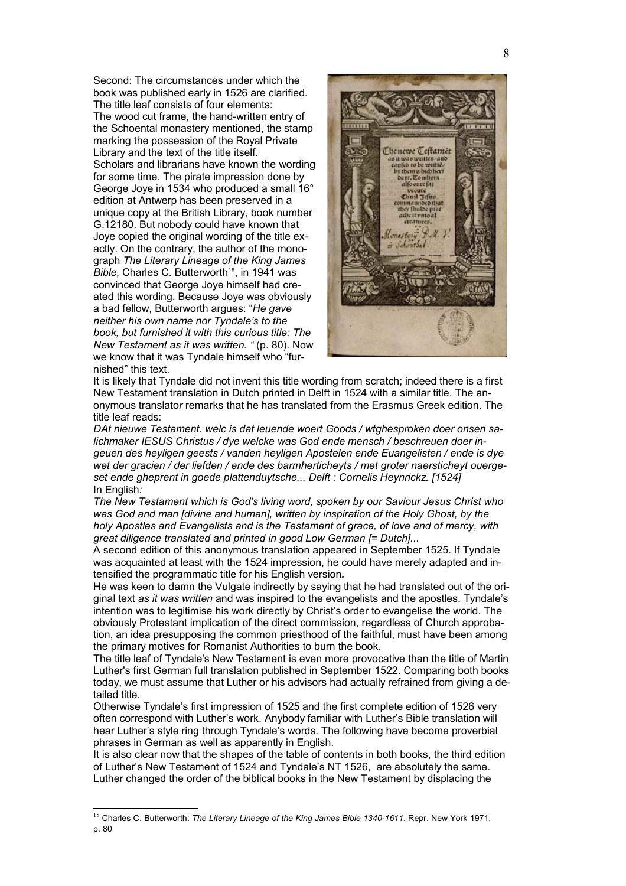Second: The circumstances under which the book was published early in 1526 are clarified. The title leaf consists of four elements: The wood cut frame, the hand-written entry of the Schoental monastery mentioned, the stamp marking the possession of the Royal Private Library and the text of the title itself. Scholars and librarians have known the wording for some time. The pirate impression done by George Joye in 1534 who produced a small 16° edition at Antwerp has been preserved in a unique copy at the British Library, book number G.12180. But nobody could have known that Joye copied the original wording of the title exactly. On the contrary, the author of the monograph *The Literary Lineage of the King James Bible, Charles C. Butterworth<sup>[15](#page-7-0)</sup>, in 1941 was* convinced that George Joye himself had created this wording. Because Joye was obviously a bad fellow, Butterworth argues: "*He gave neither his own name nor Tyndale's to the book, but furnished it with this curious title: The New Testament as it was written. "* (p. 80). Now we know that it was Tyndale himself who "furnished" this text.



It is likely that Tyndale did not invent this title wording from scratch; indeed there is a first New Testament translation in Dutch printed in Delft in 1524 with a similar title. The anonymous translato*r* remarks that he has translated from the Erasmus Greek edition. The title leaf reads:

*DAt nieuwe Testament. welc is dat leuende woert Goods / wtghesproken doer onsen salichmaker IESUS Christus / dye welcke was God ende mensch / beschreuen doer ingeuen des heyligen geests / vanden heyligen Apostelen ende Euangelisten / ende is dye wet der gracien / der liefden / ende des barmherticheyts / met groter naersticheyt ouergeset ende gheprent in goede plattenduytsche... Delft : Cornelis Heynrickz. [1524]* In English*:* 

*The New Testament which is God's living word, spoken by our Saviour Jesus Christ who was God and man [divine and human], written by inspiration of the Holy Ghost, by the holy Apostles and Evangelists and is the Testament of grace, of love and of mercy, with great diligence translated and printed in good Low German [= Dutch]...*

A second edition of this anonymous translation appeared in September 1525. If Tyndale was acquainted at least with the 1524 impression, he could have merely adapted and intensified the programmatic title for his English version*.* 

He was keen to damn the Vulgate indirectly by saying that he had translated out of the original text *as it was written* and was inspired to the evangelists and the apostles. Tyndale's intention was to legitimise his work directly by Christ's order to evangelise the world. The obviously Protestant implication of the direct commission, regardless of Church approbation, an idea presupposing the common priesthood of the faithful, must have been among the primary motives for Romanist Authorities to burn the book.

The title leaf of Tyndale's New Testament is even more provocative than the title of Martin Luther's first German full translation published in September 1522. Comparing both books today, we must assume that Luther or his advisors had actually refrained from giving a detailed title.

Otherwise Tyndale's first impression of 1525 and the first complete edition of 1526 very often correspond with Luther's work. Anybody familiar with Luther's Bible translation will hear Luther's style ring through Tyndale's words. The following have become proverbial phrases in German as well as apparently in English.

It is also clear now that the shapes of the table of contents in both books, the third edition of Luther's New Testament of 1524 and Tyndale's NT 1526, are absolutely the same. Luther changed the order of the biblical books in the New Testament by displacing the

<span id="page-7-0"></span><sup>15</sup> Charles C. Butterworth: *The Literary Lineage of the King James Bible 1340-1611*. Repr. New York 1971, p. 80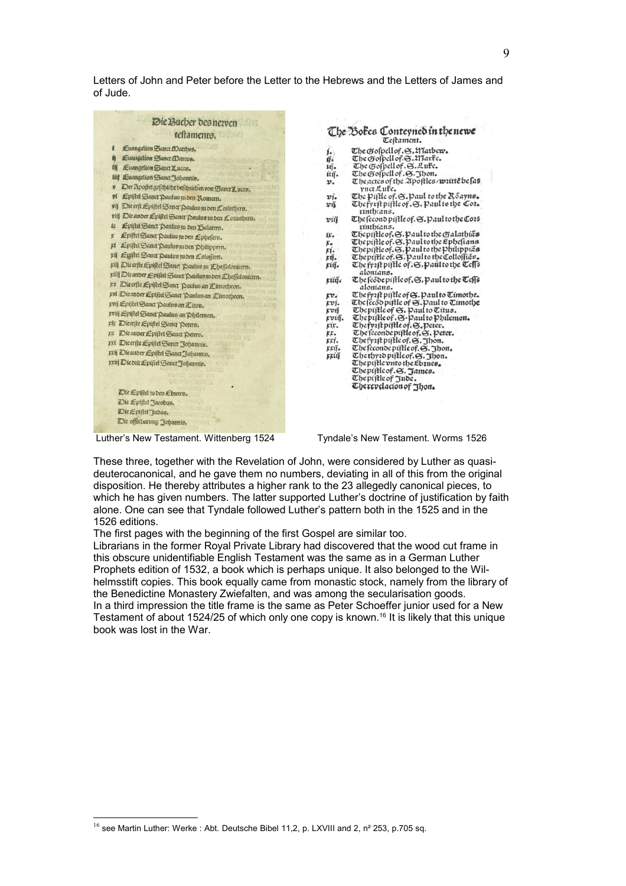Letters of John and Peter before the Letter to the Hebrews and the Letters of James and of Jude.

| Euangelion Sanct ADatthes.<br>ı<br>Luangelion Sanct Darcus.<br>6<br>街<br>LEuangelion Sanct Lucas.<br>tiil Eucngelion Sanct Jobannis.<br>Der Apostel geschicht beschrieben von Sauct Lucas.<br>p<br>ví<br>Epistel Sanct Daulus zu den Romern.<br><b>FISSITIES III</b><br>vij Die erft Epistel Sanct Paulus zu den Cointhern.<br>viij Die ander Epistel Sanct Paulus zu den Connthenn.<br>Epistel Sanct 'Daulus zu den Balatern.<br>此<br>Epistel Sanct Paulus zu den Ephefern.<br>Ł<br>rt Epistel Sanct Daulus zu den Philippern.<br>rij Epistel Sanct Paulus zu den Lolossern.<br>riff Dieerste Epistel Sanct Paulus zu Ebeffalonicert.<br>riif Die ander Epistel Sanct Paulus zu den Eheffalonicern.<br>pp Die erfte Epistel Sanct Paulus an Zimotheon.<br>pvi Dieander Epistel Sanct Paulus an Eimotheon.<br>pvij Epistel Sanct Paulus an Eiton.<br><b>APACINAL</b><br>priij Epiftel Sanct Paulus an Philemon.<br>rir Dieerste Epistel Sanct Peters.<br>EE Die ander Epistel Sanct Peters.<br>pri Dicerste Epistel Sanct Johannis.<br>Krij Dieander Epistel Sanct Johannis.<br>Kriij Die dit Epistel Sanct Johannie.<br>Die Epistel zu den Ebreern.<br>Die Epistel Jacobus.<br>Die Epistel Judas.<br>Die offinbarung Johannis. | Die Bucher des nezven<br>testaments. |
|---------------------------------------------------------------------------------------------------------------------------------------------------------------------------------------------------------------------------------------------------------------------------------------------------------------------------------------------------------------------------------------------------------------------------------------------------------------------------------------------------------------------------------------------------------------------------------------------------------------------------------------------------------------------------------------------------------------------------------------------------------------------------------------------------------------------------------------------------------------------------------------------------------------------------------------------------------------------------------------------------------------------------------------------------------------------------------------------------------------------------------------------------------------------------------------------------------------------------------|--------------------------------------|
|                                                                                                                                                                                                                                                                                                                                                                                                                                                                                                                                                                                                                                                                                                                                                                                                                                                                                                                                                                                                                                                                                                                                                                                                                                 |                                      |
|                                                                                                                                                                                                                                                                                                                                                                                                                                                                                                                                                                                                                                                                                                                                                                                                                                                                                                                                                                                                                                                                                                                                                                                                                                 |                                      |
|                                                                                                                                                                                                                                                                                                                                                                                                                                                                                                                                                                                                                                                                                                                                                                                                                                                                                                                                                                                                                                                                                                                                                                                                                                 |                                      |
|                                                                                                                                                                                                                                                                                                                                                                                                                                                                                                                                                                                                                                                                                                                                                                                                                                                                                                                                                                                                                                                                                                                                                                                                                                 |                                      |
|                                                                                                                                                                                                                                                                                                                                                                                                                                                                                                                                                                                                                                                                                                                                                                                                                                                                                                                                                                                                                                                                                                                                                                                                                                 |                                      |
|                                                                                                                                                                                                                                                                                                                                                                                                                                                                                                                                                                                                                                                                                                                                                                                                                                                                                                                                                                                                                                                                                                                                                                                                                                 |                                      |
|                                                                                                                                                                                                                                                                                                                                                                                                                                                                                                                                                                                                                                                                                                                                                                                                                                                                                                                                                                                                                                                                                                                                                                                                                                 |                                      |
|                                                                                                                                                                                                                                                                                                                                                                                                                                                                                                                                                                                                                                                                                                                                                                                                                                                                                                                                                                                                                                                                                                                                                                                                                                 |                                      |
|                                                                                                                                                                                                                                                                                                                                                                                                                                                                                                                                                                                                                                                                                                                                                                                                                                                                                                                                                                                                                                                                                                                                                                                                                                 |                                      |
|                                                                                                                                                                                                                                                                                                                                                                                                                                                                                                                                                                                                                                                                                                                                                                                                                                                                                                                                                                                                                                                                                                                                                                                                                                 |                                      |
|                                                                                                                                                                                                                                                                                                                                                                                                                                                                                                                                                                                                                                                                                                                                                                                                                                                                                                                                                                                                                                                                                                                                                                                                                                 |                                      |
|                                                                                                                                                                                                                                                                                                                                                                                                                                                                                                                                                                                                                                                                                                                                                                                                                                                                                                                                                                                                                                                                                                                                                                                                                                 |                                      |
|                                                                                                                                                                                                                                                                                                                                                                                                                                                                                                                                                                                                                                                                                                                                                                                                                                                                                                                                                                                                                                                                                                                                                                                                                                 |                                      |
|                                                                                                                                                                                                                                                                                                                                                                                                                                                                                                                                                                                                                                                                                                                                                                                                                                                                                                                                                                                                                                                                                                                                                                                                                                 |                                      |
|                                                                                                                                                                                                                                                                                                                                                                                                                                                                                                                                                                                                                                                                                                                                                                                                                                                                                                                                                                                                                                                                                                                                                                                                                                 |                                      |
|                                                                                                                                                                                                                                                                                                                                                                                                                                                                                                                                                                                                                                                                                                                                                                                                                                                                                                                                                                                                                                                                                                                                                                                                                                 |                                      |
|                                                                                                                                                                                                                                                                                                                                                                                                                                                                                                                                                                                                                                                                                                                                                                                                                                                                                                                                                                                                                                                                                                                                                                                                                                 |                                      |
|                                                                                                                                                                                                                                                                                                                                                                                                                                                                                                                                                                                                                                                                                                                                                                                                                                                                                                                                                                                                                                                                                                                                                                                                                                 |                                      |
|                                                                                                                                                                                                                                                                                                                                                                                                                                                                                                                                                                                                                                                                                                                                                                                                                                                                                                                                                                                                                                                                                                                                                                                                                                 |                                      |
|                                                                                                                                                                                                                                                                                                                                                                                                                                                                                                                                                                                                                                                                                                                                                                                                                                                                                                                                                                                                                                                                                                                                                                                                                                 |                                      |
|                                                                                                                                                                                                                                                                                                                                                                                                                                                                                                                                                                                                                                                                                                                                                                                                                                                                                                                                                                                                                                                                                                                                                                                                                                 |                                      |
|                                                                                                                                                                                                                                                                                                                                                                                                                                                                                                                                                                                                                                                                                                                                                                                                                                                                                                                                                                                                                                                                                                                                                                                                                                 |                                      |
|                                                                                                                                                                                                                                                                                                                                                                                                                                                                                                                                                                                                                                                                                                                                                                                                                                                                                                                                                                                                                                                                                                                                                                                                                                 |                                      |
|                                                                                                                                                                                                                                                                                                                                                                                                                                                                                                                                                                                                                                                                                                                                                                                                                                                                                                                                                                                                                                                                                                                                                                                                                                 |                                      |
|                                                                                                                                                                                                                                                                                                                                                                                                                                                                                                                                                                                                                                                                                                                                                                                                                                                                                                                                                                                                                                                                                                                                                                                                                                 |                                      |
|                                                                                                                                                                                                                                                                                                                                                                                                                                                                                                                                                                                                                                                                                                                                                                                                                                                                                                                                                                                                                                                                                                                                                                                                                                 |                                      |
|                                                                                                                                                                                                                                                                                                                                                                                                                                                                                                                                                                                                                                                                                                                                                                                                                                                                                                                                                                                                                                                                                                                                                                                                                                 |                                      |
|                                                                                                                                                                                                                                                                                                                                                                                                                                                                                                                                                                                                                                                                                                                                                                                                                                                                                                                                                                                                                                                                                                                                                                                                                                 |                                      |
|                                                                                                                                                                                                                                                                                                                                                                                                                                                                                                                                                                                                                                                                                                                                                                                                                                                                                                                                                                                                                                                                                                                                                                                                                                 |                                      |

## The Boles Conteyned in the newe

- The Gofpellof. S. Watbew. i. The Gospell of .S. Alfarte.<br>The Gospell of .S. Aute.  $\tilde{\mathfrak{g}}^i_*$ iĝ. The Gospell of . S. Jhon.<br>The gospell of . S. Jhon.<br>The actes of the 2poftles/writte be fas itij. v. piet Aite.<br>The piftle of S. paul to the Roayns.<br>The piftle of S. paul to the Cot.  $\mathbf{vi}_{\bullet}$  $x<sub>0</sub>$ rinthans. The fecond piftle of. S. Paul to the Co25 viä enconopileor. C. Pautothe Company<br>
The prific of C. C. Paul to the Galathias<br>
The prific of C. C. Paul to the Phelippias<br>
The prific of C. Paul to the Philippias<br>
The prific of C. Paul to the Collogias ir.  $\frac{F_{\ast}}{F_{1}}$ kű. riij. The frast piftle of S. Paul to the Tell's alonians. The feode piftle of. S. paul to the Teffs rüğ. alonians.  $\mathbf{rv}_i$ The fyzit piftle of &. Paul to Timothe. Le prip pinte of G. Paul to Cunoty.<br>The fecto pinte of G. Paul to Timothe<br>The pinte of G. Paul to Titus.<br>The pinte of G. Paul to Philemon.<br>The freends nutle of G. Thou.<br>The freends nutle of G. Thou. rvi.<br>rvij pviğ. kir. er.<br>eri. The feconde piftle of. S. Jhon.<br>The thysid piftle of. S. Jhon.<br>The piftle vnto the Ebsues. rrų̃. rriñ The piftle of . S. James.<br>The piftle of Jude.<br>The revelacion of Jhon.
	-
- 

Luther's New Testament. Wittenberg 1524 Tyndale's New Testament. Worms 1526

These three, together with the Revelation of John, were considered by Luther as quasideuterocanonical, and he gave them no numbers, deviating in all of this from the original disposition. He thereby attributes a higher rank to the 23 allegedly canonical pieces, to which he has given numbers. The latter supported Luther's doctrine of justification by faith alone. One can see that Tyndale followed Luther's pattern both in the 1525 and in the 1526 editions.

The first pages with the beginning of the first Gospel are similar too.

Librarians in the former Royal Private Library had discovered that the wood cut frame in this obscure unidentifiable English Testament was the same as in a German Luther Prophets edition of 1532, a book which is perhaps unique. It also belonged to the Wilhelmsstift copies. This book equally came from monastic stock, namely from the library of the Benedictine Monastery Zwiefalten, and was among the secularisation goods. In a third impression the title frame is the same as Peter Schoeffer junior used for a New Testament of about 1524/25 of which only one copy is known.[16](#page-8-0) It is likely that this unique book was lost in the War.

<span id="page-8-0"></span> $^{16}$  see Martin Luther: Werke : Abt. Deutsche Bibel 11,2, p. LXVIII and 2, n<sup>2</sup> 253, p.705 sq.